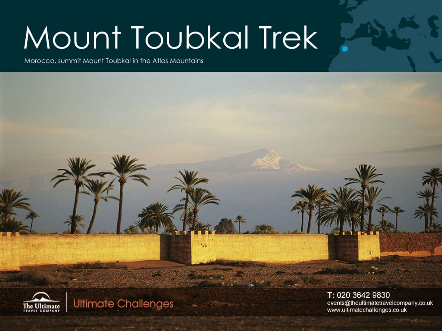# Mount Toubkal Trek

Morocco, summit Mount Toubkal in the Atlas Mountains



**Ultimate Challenges** 

T: 020 3642 9830 events@theultimatetravelcompany.co.uk www.ultimatechallenges.co.uk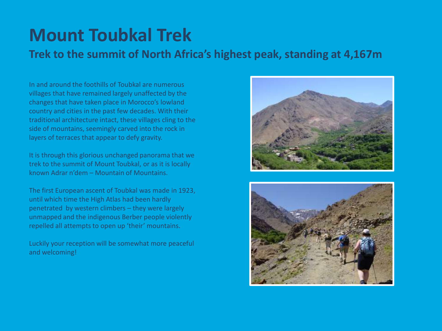## **Mount Toubkal Trek**

**Trek to the summit of North Africa's highest peak, standing at 4,167m**

In and around the foothills of Toubkal are numerous villages that have remained largely unaffected by the changes that have taken place in Morocco's lowland country and cities in the past few decades. With their traditional architecture intact, these villages cling to the side of mountains, seemingly carved into the rock in layers of terraces that appear to defy gravity.

It is through this glorious unchanged panorama that we trek to the summit of Mount Toubkal, or as it is locally known Adrar n'dem – Mountain of Mountains.

The first European ascent of Toubkal was made in 1923, until which time the High Atlas had been hardly penetrated by western climbers – they were largely unmapped and the indigenous Berber people violently repelled all attempts to open up 'their' mountains.

Luckily your reception will be somewhat more peaceful and welcoming!